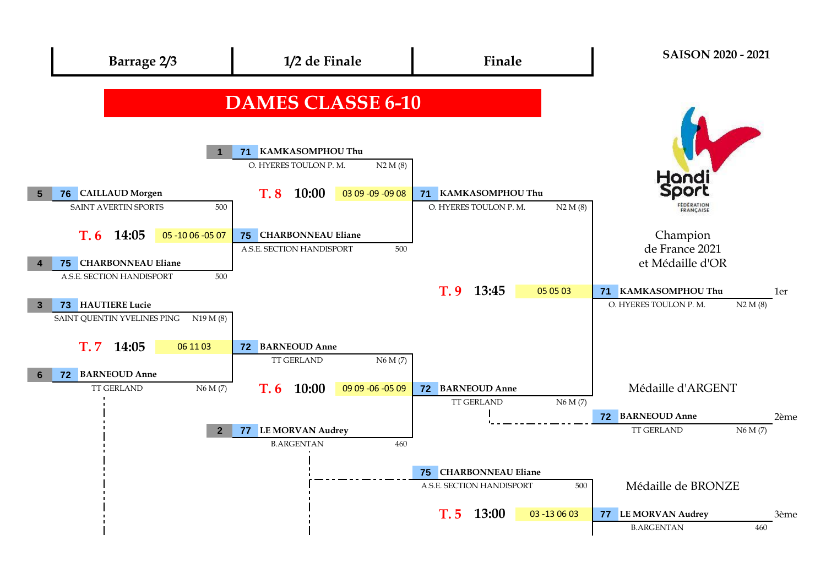